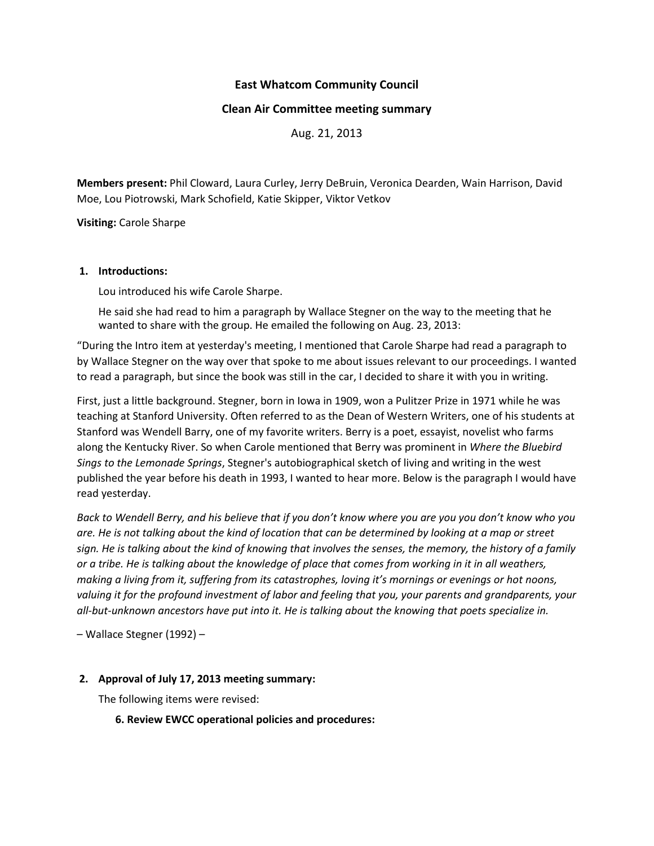# **East Whatcom Community Council**

### **Clean Air Committee meeting summary**

Aug. 21, 2013

**Members present:** Phil Cloward, Laura Curley, Jerry DeBruin, Veronica Dearden, Wain Harrison, David Moe, Lou Piotrowski, Mark Schofield, Katie Skipper, Viktor Vetkov

**Visiting:** Carole Sharpe

#### **1. Introductions:**

Lou introduced his wife Carole Sharpe.

He said she had read to him a paragraph by Wallace Stegner on the way to the meeting that he wanted to share with the group. He emailed the following on Aug. 23, 2013:

"During the Intro item at yesterday's meeting, I mentioned that Carole Sharpe had read a paragraph to by Wallace Stegner on the way over that spoke to me about issues relevant to our proceedings. I wanted to read a paragraph, but since the book was still in the car, I decided to share it with you in writing.

First, just a little background. Stegner, born in Iowa in 1909, won a Pulitzer Prize in 1971 while he was teaching at Stanford University. Often referred to as the Dean of Western Writers, one of his students at Stanford was Wendell Barry, one of my favorite writers. Berry is a poet, essayist, novelist who farms along the Kentucky River. So when Carole mentioned that Berry was prominent in *Where the Bluebird Sings to the Lemonade Springs*, Stegner's autobiographical sketch of living and writing in the west published the year before his death in 1993, I wanted to hear more. Below is the paragraph I would have read yesterday.

*Back to Wendell Berry, and his believe that if you don't know where you are you you don't know who you are. He is not talking about the kind of location that can be determined by looking at a map or street sign. He is talking about the kind of knowing that involves the senses, the memory, the history of a family or a tribe. He is talking about the knowledge of place that comes from working in it in all weathers, making a living from it, suffering from its catastrophes, loving it's mornings or evenings or hot noons, valuing it for the profound investment of labor and feeling that you, your parents and grandparents, your all-but-unknown ancestors have put into it. He is talking about the knowing that poets specialize in.*

– Wallace Stegner (1992) –

### **2. Approval of July 17, 2013 meeting summary:**

The following items were revised:

**6. Review EWCC operational policies and procedures:**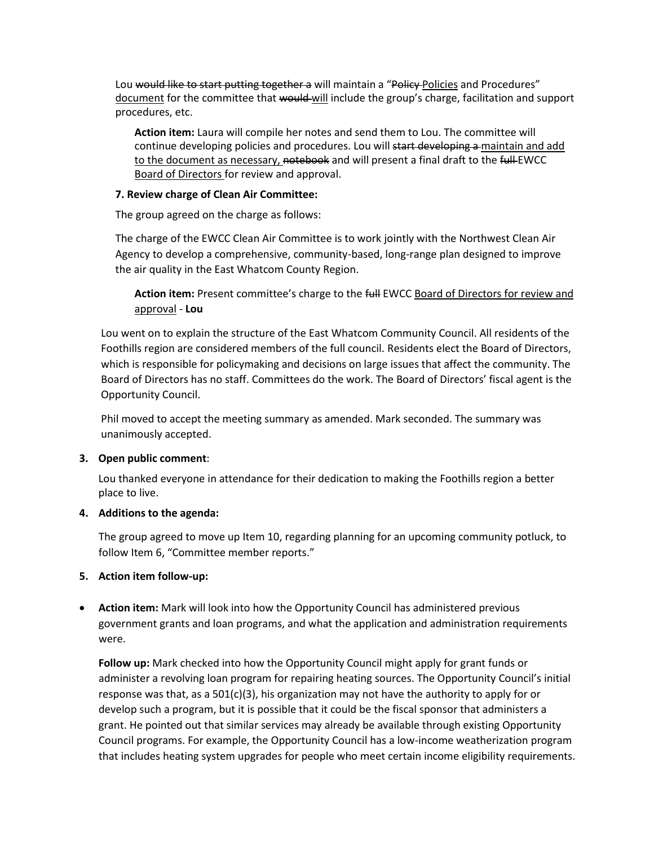Lou would like to start putting together a will maintain a "Policy Policies and Procedures" document for the committee that would-will include the group's charge, facilitation and support procedures, etc.

**Action item:** Laura will compile her notes and send them to Lou. The committee will continue developing policies and procedures. Lou will start developing a maintain and add to the document as necessary, notebook and will present a final draft to the full EWCC **Board of Directors for review and approval.** 

### **7. Review charge of Clean Air Committee:**

The group agreed on the charge as follows:

The charge of the EWCC Clean Air Committee is to work jointly with the Northwest Clean Air Agency to develop a comprehensive, community-based, long-range plan designed to improve the air quality in the East Whatcom County Region.

Action item: Present committee's charge to the full EWCC Board of Directors for review and approval - **Lou**

Lou went on to explain the structure of the East Whatcom Community Council. All residents of the Foothills region are considered members of the full council. Residents elect the Board of Directors, which is responsible for policymaking and decisions on large issues that affect the community. The Board of Directors has no staff. Committees do the work. The Board of Directors' fiscal agent is the Opportunity Council.

Phil moved to accept the meeting summary as amended. Mark seconded. The summary was unanimously accepted.

# **3. Open public comment**:

Lou thanked everyone in attendance for their dedication to making the Foothills region a better place to live.

# **4. Additions to the agenda:**

The group agreed to move up Item 10, regarding planning for an upcoming community potluck, to follow Item 6, "Committee member reports."

# **5. Action item follow-up:**

 **Action item:** Mark will look into how the Opportunity Council has administered previous government grants and loan programs, and what the application and administration requirements were.

**Follow up:** Mark checked into how the Opportunity Council might apply for grant funds or administer a revolving loan program for repairing heating sources. The Opportunity Council's initial response was that, as a  $501(c)(3)$ , his organization may not have the authority to apply for or develop such a program, but it is possible that it could be the fiscal sponsor that administers a grant. He pointed out that similar services may already be available through existing Opportunity Council programs. For example, the Opportunity Council has a low-income weatherization program that includes heating system upgrades for people who meet certain income eligibility requirements.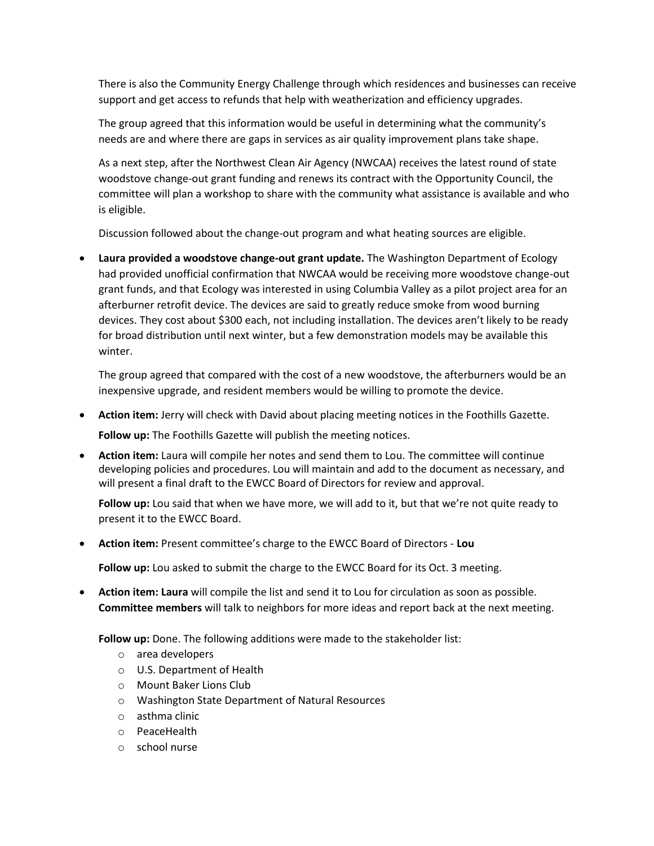There is also the Community Energy Challenge through which residences and businesses can receive support and get access to refunds that help with weatherization and efficiency upgrades.

The group agreed that this information would be useful in determining what the community's needs are and where there are gaps in services as air quality improvement plans take shape.

As a next step, after the Northwest Clean Air Agency (NWCAA) receives the latest round of state woodstove change-out grant funding and renews its contract with the Opportunity Council, the committee will plan a workshop to share with the community what assistance is available and who is eligible.

Discussion followed about the change-out program and what heating sources are eligible.

 **Laura provided a woodstove change-out grant update.** The Washington Department of Ecology had provided unofficial confirmation that NWCAA would be receiving more woodstove change-out grant funds, and that Ecology was interested in using Columbia Valley as a pilot project area for an afterburner retrofit device. The devices are said to greatly reduce smoke from wood burning devices. They cost about \$300 each, not including installation. The devices aren't likely to be ready for broad distribution until next winter, but a few demonstration models may be available this winter.

The group agreed that compared with the cost of a new woodstove, the afterburners would be an inexpensive upgrade, and resident members would be willing to promote the device.

- **Action item:** Jerry will check with David about placing meeting notices in the Foothills Gazette. **Follow up:** The Foothills Gazette will publish the meeting notices.
- **Action item:** Laura will compile her notes and send them to Lou. The committee will continue developing policies and procedures. Lou will maintain and add to the document as necessary, and will present a final draft to the EWCC Board of Directors for review and approval.

**Follow up:** Lou said that when we have more, we will add to it, but that we're not quite ready to present it to the EWCC Board.

**Action item:** Present committee's charge to the EWCC Board of Directors - **Lou**

**Follow up:** Lou asked to submit the charge to the EWCC Board for its Oct. 3 meeting.

 **Action item: Laura** will compile the list and send it to Lou for circulation as soon as possible. **Committee members** will talk to neighbors for more ideas and report back at the next meeting.

**Follow up:** Done. The following additions were made to the stakeholder list:

- o area developers
- o U.S. Department of Health
- o Mount Baker Lions Club
- o Washington State Department of Natural Resources
- o asthma clinic
- o PeaceHealth
- o school nurse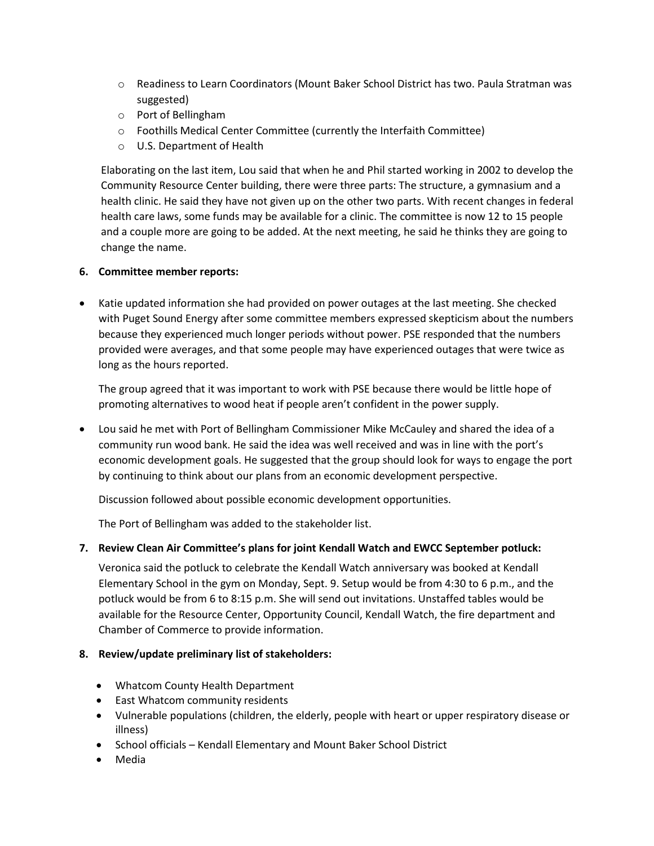- o Readiness to Learn Coordinators (Mount Baker School District has two. Paula Stratman was suggested)
- o Port of Bellingham
- o Foothills Medical Center Committee (currently the Interfaith Committee)
- o U.S. Department of Health

Elaborating on the last item, Lou said that when he and Phil started working in 2002 to develop the Community Resource Center building, there were three parts: The structure, a gymnasium and a health clinic. He said they have not given up on the other two parts. With recent changes in federal health care laws, some funds may be available for a clinic. The committee is now 12 to 15 people and a couple more are going to be added. At the next meeting, he said he thinks they are going to change the name.

### **6. Committee member reports:**

 Katie updated information she had provided on power outages at the last meeting. She checked with Puget Sound Energy after some committee members expressed skepticism about the numbers because they experienced much longer periods without power. PSE responded that the numbers provided were averages, and that some people may have experienced outages that were twice as long as the hours reported.

The group agreed that it was important to work with PSE because there would be little hope of promoting alternatives to wood heat if people aren't confident in the power supply.

 Lou said he met with Port of Bellingham Commissioner Mike McCauley and shared the idea of a community run wood bank. He said the idea was well received and was in line with the port's economic development goals. He suggested that the group should look for ways to engage the port by continuing to think about our plans from an economic development perspective.

Discussion followed about possible economic development opportunities.

The Port of Bellingham was added to the stakeholder list.

### **7. Review Clean Air Committee's plans for joint Kendall Watch and EWCC September potluck:**

Veronica said the potluck to celebrate the Kendall Watch anniversary was booked at Kendall Elementary School in the gym on Monday, Sept. 9. Setup would be from 4:30 to 6 p.m., and the potluck would be from 6 to 8:15 p.m. She will send out invitations. Unstaffed tables would be available for the Resource Center, Opportunity Council, Kendall Watch, the fire department and Chamber of Commerce to provide information.

### **8. Review/update preliminary list of stakeholders:**

- Whatcom County Health Department
- East Whatcom community residents
- Vulnerable populations (children, the elderly, people with heart or upper respiratory disease or illness)
- School officials Kendall Elementary and Mount Baker School District
- Media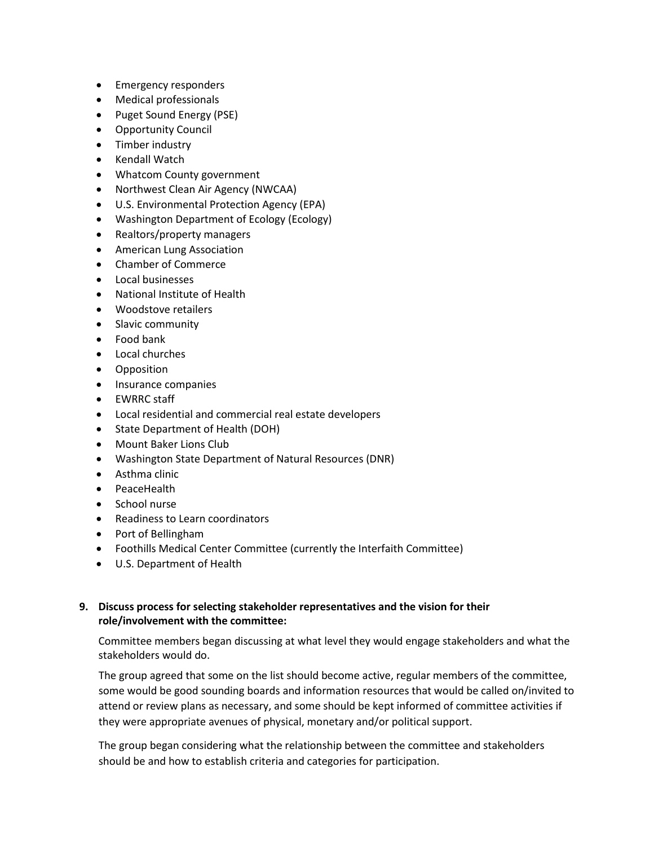- Emergency responders
- Medical professionals
- Puget Sound Energy (PSE)
- Opportunity Council
- Timber industry
- Kendall Watch
- Whatcom County government
- Northwest Clean Air Agency (NWCAA)
- U.S. Environmental Protection Agency (EPA)
- Washington Department of Ecology (Ecology)
- Realtors/property managers
- **•** American Lung Association
- Chamber of Commerce
- Local businesses
- National Institute of Health
- Woodstove retailers
- Slavic community
- Food bank
- Local churches
- **•** Opposition
- Insurance companies
- EWRRC staff
- Local residential and commercial real estate developers
- State Department of Health (DOH)
- Mount Baker Lions Club
- Washington State Department of Natural Resources (DNR)
- Asthma clinic
- PeaceHealth
- School nurse
- Readiness to Learn coordinators
- Port of Bellingham
- Foothills Medical Center Committee (currently the Interfaith Committee)
- U.S. Department of Health

### **9. Discuss process for selecting stakeholder representatives and the vision for their role/involvement with the committee:**

Committee members began discussing at what level they would engage stakeholders and what the stakeholders would do.

The group agreed that some on the list should become active, regular members of the committee, some would be good sounding boards and information resources that would be called on/invited to attend or review plans as necessary, and some should be kept informed of committee activities if they were appropriate avenues of physical, monetary and/or political support.

The group began considering what the relationship between the committee and stakeholders should be and how to establish criteria and categories for participation.